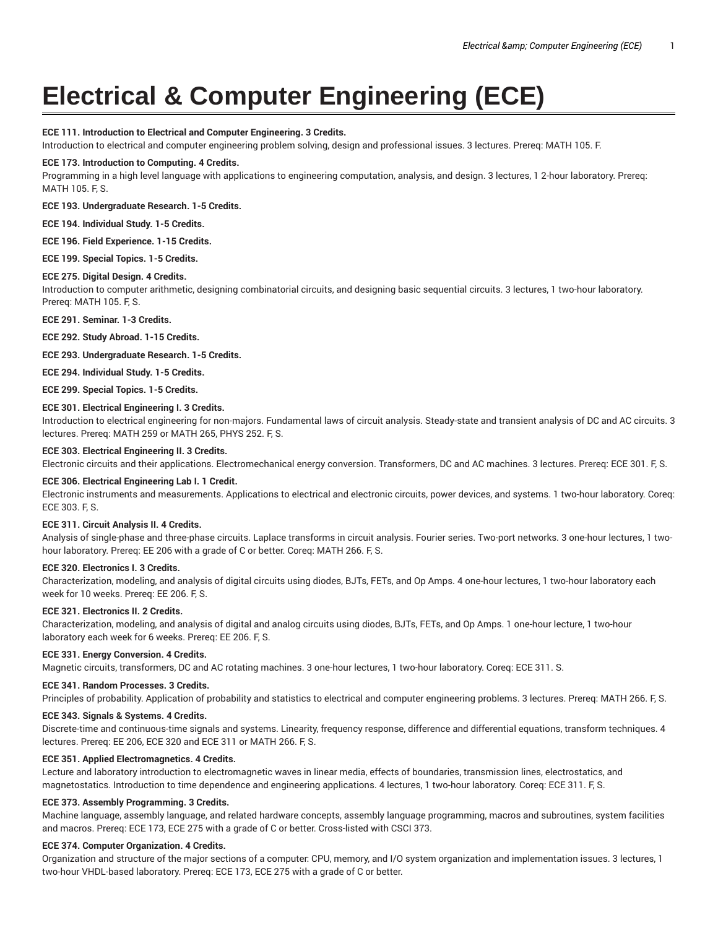# **Electrical & Computer Engineering (ECE)**

# **ECE 111. Introduction to Electrical and Computer Engineering. 3 Credits.**

Introduction to electrical and computer engineering problem solving, design and professional issues. 3 lectures. Prereq: MATH 105. F.

# **ECE 173. Introduction to Computing. 4 Credits.**

Programming in a high level language with applications to engineering computation, analysis, and design. 3 lectures, 1 2-hour laboratory. Prereq: MATH 105. F, S.

# **ECE 193. Undergraduate Research. 1-5 Credits.**

**ECE 194. Individual Study. 1-5 Credits.**

**ECE 196. Field Experience. 1-15 Credits.**

**ECE 199. Special Topics. 1-5 Credits.**

# **ECE 275. Digital Design. 4 Credits.**

Introduction to computer arithmetic, designing combinatorial circuits, and designing basic sequential circuits. 3 lectures, 1 two-hour laboratory. Prereq: MATH 105. F, S.

**ECE 291. Seminar. 1-3 Credits.**

**ECE 292. Study Abroad. 1-15 Credits.**

**ECE 293. Undergraduate Research. 1-5 Credits.**

**ECE 294. Individual Study. 1-5 Credits.**

**ECE 299. Special Topics. 1-5 Credits.**

# **ECE 301. Electrical Engineering I. 3 Credits.**

Introduction to electrical engineering for non-majors. Fundamental laws of circuit analysis. Steady-state and transient analysis of DC and AC circuits. 3 lectures. Prereq: MATH 259 or MATH 265, PHYS 252. F, S.

# **ECE 303. Electrical Engineering II. 3 Credits.**

Electronic circuits and their applications. Electromechanical energy conversion. Transformers, DC and AC machines. 3 lectures. Prereq: ECE 301. F, S.

#### **ECE 306. Electrical Engineering Lab I. 1 Credit.**

Electronic instruments and measurements. Applications to electrical and electronic circuits, power devices, and systems. 1 two-hour laboratory. Coreq: ECE 303. F, S.

# **ECE 311. Circuit Analysis II. 4 Credits.**

Analysis of single-phase and three-phase circuits. Laplace transforms in circuit analysis. Fourier series. Two-port networks. 3 one-hour lectures, 1 twohour laboratory. Prereq: EE 206 with a grade of C or better. Coreq: MATH 266. F, S.

# **ECE 320. Electronics I. 3 Credits.**

Characterization, modeling, and analysis of digital circuits using diodes, BJTs, FETs, and Op Amps. 4 one-hour lectures, 1 two-hour laboratory each week for 10 weeks. Prereq: EE 206. F, S.

# **ECE 321. Electronics II. 2 Credits.**

Characterization, modeling, and analysis of digital and analog circuits using diodes, BJTs, FETs, and Op Amps. 1 one-hour lecture, 1 two-hour laboratory each week for 6 weeks. Prereq: EE 206. F, S.

# **ECE 331. Energy Conversion. 4 Credits.**

Magnetic circuits, transformers, DC and AC rotating machines. 3 one-hour lectures, 1 two-hour laboratory. Coreq: ECE 311. S.

# **ECE 341. Random Processes. 3 Credits.**

Principles of probability. Application of probability and statistics to electrical and computer engineering problems. 3 lectures. Prereq: MATH 266. F, S.

# **ECE 343. Signals & Systems. 4 Credits.**

Discrete-time and continuous-time signals and systems. Linearity, frequency response, difference and differential equations, transform techniques. 4 lectures. Prereq: EE 206, ECE 320 and ECE 311 or MATH 266. F, S.

# **ECE 351. Applied Electromagnetics. 4 Credits.**

Lecture and laboratory introduction to electromagnetic waves in linear media, effects of boundaries, transmission lines, electrostatics, and magnetostatics. Introduction to time dependence and engineering applications. 4 lectures, 1 two-hour laboratory. Coreq: ECE 311. F, S.

# **ECE 373. Assembly Programming. 3 Credits.**

Machine language, assembly language, and related hardware concepts, assembly language programming, macros and subroutines, system facilities and macros. Prereq: ECE 173, ECE 275 with a grade of C or better. Cross-listed with CSCI 373.

## **ECE 374. Computer Organization. 4 Credits.**

Organization and structure of the major sections of a computer: CPU, memory, and I/O system organization and implementation issues. 3 lectures, 1 two-hour VHDL-based laboratory. Prereq: ECE 173, ECE 275 with a grade of C or better.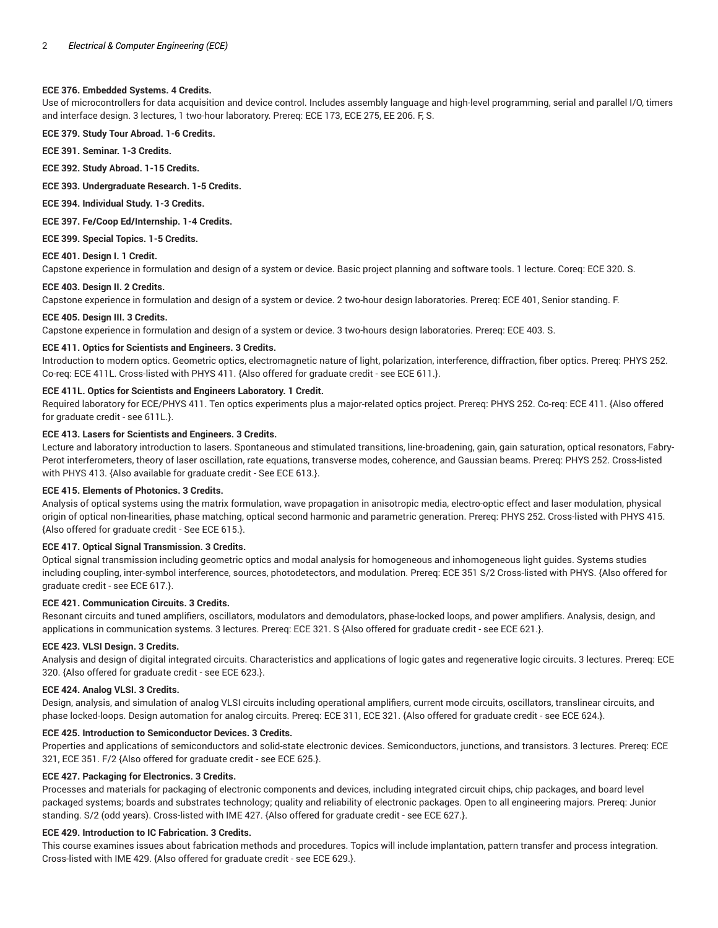#### **ECE 376. Embedded Systems. 4 Credits.**

Use of microcontrollers for data acquisition and device control. Includes assembly language and high-level programming, serial and parallel I/O, timers and interface design. 3 lectures, 1 two-hour laboratory. Prereq: ECE 173, ECE 275, EE 206. F, S.

**ECE 379. Study Tour Abroad. 1-6 Credits.**

**ECE 391. Seminar. 1-3 Credits.**

**ECE 392. Study Abroad. 1-15 Credits.**

**ECE 393. Undergraduate Research. 1-5 Credits.**

**ECE 394. Individual Study. 1-3 Credits.**

**ECE 397. Fe/Coop Ed/Internship. 1-4 Credits.**

**ECE 399. Special Topics. 1-5 Credits.**

# **ECE 401. Design I. 1 Credit.**

Capstone experience in formulation and design of a system or device. Basic project planning and software tools. 1 lecture. Coreq: ECE 320. S.

#### **ECE 403. Design II. 2 Credits.**

Capstone experience in formulation and design of a system or device. 2 two-hour design laboratories. Prereq: ECE 401, Senior standing. F.

#### **ECE 405. Design III. 3 Credits.**

Capstone experience in formulation and design of a system or device. 3 two-hours design laboratories. Prereq: ECE 403. S.

#### **ECE 411. Optics for Scientists and Engineers. 3 Credits.**

Introduction to modern optics. Geometric optics, electromagnetic nature of light, polarization, interference, diffraction, fiber optics. Prereq: PHYS 252. Co-req: ECE 411L. Cross-listed with PHYS 411. {Also offered for graduate credit - see ECE 611.}.

# **ECE 411L. Optics for Scientists and Engineers Laboratory. 1 Credit.**

Required laboratory for ECE/PHYS 411. Ten optics experiments plus a major-related optics project. Prereq: PHYS 252. Co-req: ECE 411. {Also offered for graduate credit - see 611L.}.

#### **ECE 413. Lasers for Scientists and Engineers. 3 Credits.**

Lecture and laboratory introduction to lasers. Spontaneous and stimulated transitions, line-broadening, gain, gain saturation, optical resonators, Fabry-Perot interferometers, theory of laser oscillation, rate equations, transverse modes, coherence, and Gaussian beams. Prereq: PHYS 252. Cross-listed with PHYS 413. {Also available for graduate credit - See ECE 613.}.

# **ECE 415. Elements of Photonics. 3 Credits.**

Analysis of optical systems using the matrix formulation, wave propagation in anisotropic media, electro-optic effect and laser modulation, physical origin of optical non-linearities, phase matching, optical second harmonic and parametric generation. Prereq: PHYS 252. Cross-listed with PHYS 415. {Also offered for graduate credit - See ECE 615.}.

# **ECE 417. Optical Signal Transmission. 3 Credits.**

Optical signal transmission including geometric optics and modal analysis for homogeneous and inhomogeneous light guides. Systems studies including coupling, inter-symbol interference, sources, photodetectors, and modulation. Prereq: ECE 351 S/2 Cross-listed with PHYS. {Also offered for graduate credit - see ECE 617.}.

# **ECE 421. Communication Circuits. 3 Credits.**

Resonant circuits and tuned amplifiers, oscillators, modulators and demodulators, phase-locked loops, and power amplifiers. Analysis, design, and applications in communication systems. 3 lectures. Prereq: ECE 321. S {Also offered for graduate credit - see ECE 621.}.

# **ECE 423. VLSI Design. 3 Credits.**

Analysis and design of digital integrated circuits. Characteristics and applications of logic gates and regenerative logic circuits. 3 lectures. Prereq: ECE 320. {Also offered for graduate credit - see ECE 623.}.

# **ECE 424. Analog VLSI. 3 Credits.**

Design, analysis, and simulation of analog VLSI circuits including operational amplifiers, current mode circuits, oscillators, translinear circuits, and phase locked-loops. Design automation for analog circuits. Prereq: ECE 311, ECE 321. {Also offered for graduate credit - see ECE 624.}.

# **ECE 425. Introduction to Semiconductor Devices. 3 Credits.**

Properties and applications of semiconductors and solid-state electronic devices. Semiconductors, junctions, and transistors. 3 lectures. Prereq: ECE 321, ECE 351. F/2 {Also offered for graduate credit - see ECE 625.}.

#### **ECE 427. Packaging for Electronics. 3 Credits.**

Processes and materials for packaging of electronic components and devices, including integrated circuit chips, chip packages, and board level packaged systems; boards and substrates technology; quality and reliability of electronic packages. Open to all engineering majors. Prereq: Junior standing. S/2 (odd years). Cross-listed with IME 427. {Also offered for graduate credit - see ECE 627.}.

#### **ECE 429. Introduction to IC Fabrication. 3 Credits.**

This course examines issues about fabrication methods and procedures. Topics will include implantation, pattern transfer and process integration. Cross-listed with IME 429. {Also offered for graduate credit - see ECE 629.}.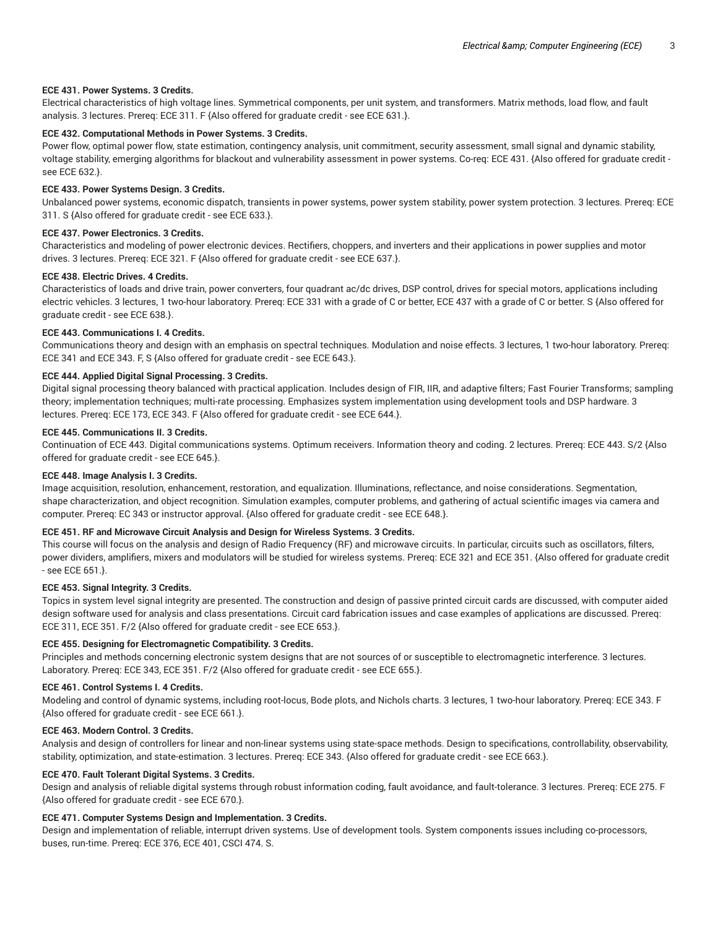#### **ECE 431. Power Systems. 3 Credits.**

Electrical characteristics of high voltage lines. Symmetrical components, per unit system, and transformers. Matrix methods, load flow, and fault analysis. 3 lectures. Prereq: ECE 311. F {Also offered for graduate credit - see ECE 631.}.

# **ECE 432. Computational Methods in Power Systems. 3 Credits.**

Power flow, optimal power flow, state estimation, contingency analysis, unit commitment, security assessment, small signal and dynamic stability, voltage stability, emerging algorithms for blackout and vulnerability assessment in power systems. Co-req: ECE 431. {Also offered for graduate credit see ECE 632.}.

#### **ECE 433. Power Systems Design. 3 Credits.**

Unbalanced power systems, economic dispatch, transients in power systems, power system stability, power system protection. 3 lectures. Prereq: ECE 311. S {Also offered for graduate credit - see ECE 633.}.

# **ECE 437. Power Electronics. 3 Credits.**

Characteristics and modeling of power electronic devices. Rectifiers, choppers, and inverters and their applications in power supplies and motor drives. 3 lectures. Prereq: ECE 321. F {Also offered for graduate credit - see ECE 637.}.

# **ECE 438. Electric Drives. 4 Credits.**

Characteristics of loads and drive train, power converters, four quadrant ac/dc drives, DSP control, drives for special motors, applications including electric vehicles. 3 lectures, 1 two-hour laboratory. Prereq: ECE 331 with a grade of C or better, ECE 437 with a grade of C or better. S {Also offered for graduate credit - see ECE 638.}.

# **ECE 443. Communications I. 4 Credits.**

Communications theory and design with an emphasis on spectral techniques. Modulation and noise effects. 3 lectures, 1 two-hour laboratory. Prereq: ECE 341 and ECE 343. F, S {Also offered for graduate credit - see ECE 643.}.

#### **ECE 444. Applied Digital Signal Processing. 3 Credits.**

Digital signal processing theory balanced with practical application. Includes design of FIR, IIR, and adaptive filters; Fast Fourier Transforms; sampling theory; implementation techniques; multi-rate processing. Emphasizes system implementation using development tools and DSP hardware. 3 lectures. Prereq: ECE 173, ECE 343. F {Also offered for graduate credit - see ECE 644.}.

#### **ECE 445. Communications II. 3 Credits.**

Continuation of ECE 443. Digital communications systems. Optimum receivers. Information theory and coding. 2 lectures. Prereq: ECE 443. S/2 {Also offered for graduate credit - see ECE 645.}.

#### **ECE 448. Image Analysis I. 3 Credits.**

Image acquisition, resolution, enhancement, restoration, and equalization. Illuminations, reflectance, and noise considerations. Segmentation, shape characterization, and object recognition. Simulation examples, computer problems, and gathering of actual scientific images via camera and computer. Prereq: EC 343 or instructor approval. {Also offered for graduate credit - see ECE 648.}.

# **ECE 451. RF and Microwave Circuit Analysis and Design for Wireless Systems. 3 Credits.**

This course will focus on the analysis and design of Radio Frequency (RF) and microwave circuits. In particular, circuits such as oscillators, filters, power dividers, amplifiers, mixers and modulators will be studied for wireless systems. Prereq: ECE 321 and ECE 351. {Also offered for graduate credit - see ECE 651.}.

#### **ECE 453. Signal Integrity. 3 Credits.**

Topics in system level signal integrity are presented. The construction and design of passive printed circuit cards are discussed, with computer aided design software used for analysis and class presentations. Circuit card fabrication issues and case examples of applications are discussed. Prereq: ECE 311, ECE 351. F/2 {Also offered for graduate credit - see ECE 653.}.

# **ECE 455. Designing for Electromagnetic Compatibility. 3 Credits.**

Principles and methods concerning electronic system designs that are not sources of or susceptible to electromagnetic interference. 3 lectures. Laboratory. Prereq: ECE 343, ECE 351. F/2 {Also offered for graduate credit - see ECE 655.}.

#### **ECE 461. Control Systems I. 4 Credits.**

Modeling and control of dynamic systems, including root-locus, Bode plots, and Nichols charts. 3 lectures, 1 two-hour laboratory. Prereq: ECE 343. F {Also offered for graduate credit - see ECE 661.}.

#### **ECE 463. Modern Control. 3 Credits.**

Analysis and design of controllers for linear and non-linear systems using state-space methods. Design to specifications, controllability, observability, stability, optimization, and state-estimation. 3 lectures. Prereq: ECE 343. {Also offered for graduate credit - see ECE 663.}.

# **ECE 470. Fault Tolerant Digital Systems. 3 Credits.**

Design and analysis of reliable digital systems through robust information coding, fault avoidance, and fault-tolerance. 3 lectures. Prereq: ECE 275. F {Also offered for graduate credit - see ECE 670.}.

# **ECE 471. Computer Systems Design and Implementation. 3 Credits.**

Design and implementation of reliable, interrupt driven systems. Use of development tools. System components issues including co-processors, buses, run-time. Prereq: ECE 376, ECE 401, CSCI 474. S.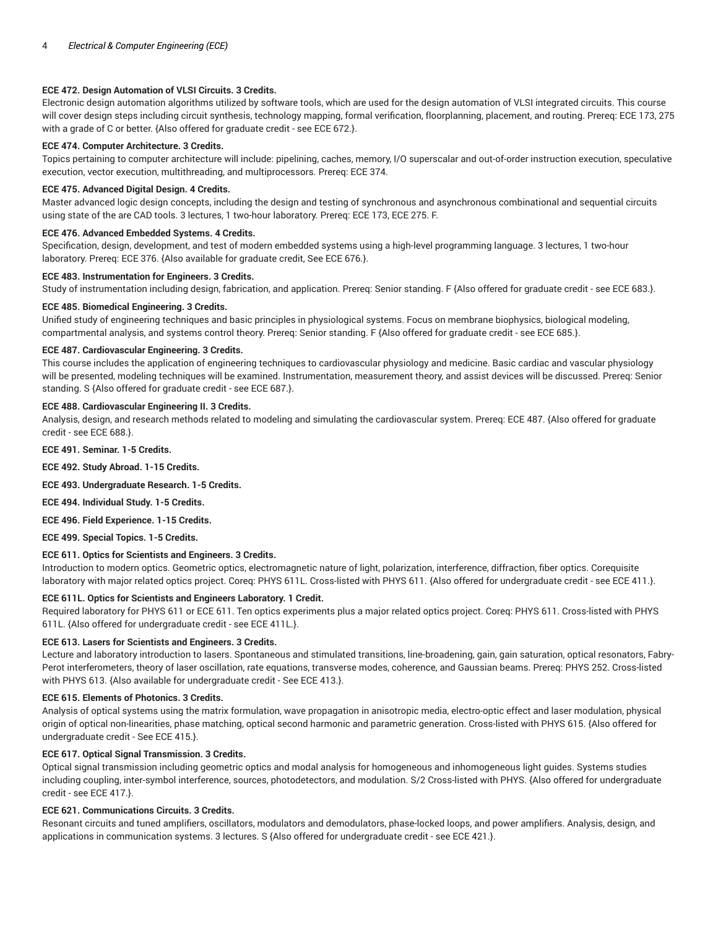# **ECE 472. Design Automation of VLSI Circuits. 3 Credits.**

Electronic design automation algorithms utilized by software tools, which are used for the design automation of VLSI integrated circuits. This course will cover design steps including circuit synthesis, technology mapping, formal verification, floorplanning, placement, and routing. Prereq: ECE 173, 275 with a grade of C or better. {Also offered for graduate credit - see ECE 672.}.

# **ECE 474. Computer Architecture. 3 Credits.**

Topics pertaining to computer architecture will include: pipelining, caches, memory, I/O superscalar and out-of-order instruction execution, speculative execution, vector execution, multithreading, and multiprocessors. Prereq: ECE 374.

#### **ECE 475. Advanced Digital Design. 4 Credits.**

Master advanced logic design concepts, including the design and testing of synchronous and asynchronous combinational and sequential circuits using state of the are CAD tools. 3 lectures, 1 two-hour laboratory. Prereq: ECE 173, ECE 275. F.

#### **ECE 476. Advanced Embedded Systems. 4 Credits.**

Specification, design, development, and test of modern embedded systems using a high-level programming language. 3 lectures, 1 two-hour laboratory. Prereq: ECE 376. {Also available for graduate credit, See ECE 676.}.

#### **ECE 483. Instrumentation for Engineers. 3 Credits.**

Study of instrumentation including design, fabrication, and application. Prereq: Senior standing. F {Also offered for graduate credit - see ECE 683.}.

#### **ECE 485. Biomedical Engineering. 3 Credits.**

Unified study of engineering techniques and basic principles in physiological systems. Focus on membrane biophysics, biological modeling, compartmental analysis, and systems control theory. Prereq: Senior standing. F {Also offered for graduate credit - see ECE 685.}.

#### **ECE 487. Cardiovascular Engineering. 3 Credits.**

This course includes the application of engineering techniques to cardiovascular physiology and medicine. Basic cardiac and vascular physiology will be presented, modeling techniques will be examined. Instrumentation, measurement theory, and assist devices will be discussed. Prereq: Senior standing. S {Also offered for graduate credit - see ECE 687.}.

#### **ECE 488. Cardiovascular Engineering II. 3 Credits.**

Analysis, design, and research methods related to modeling and simulating the cardiovascular system. Prereq: ECE 487. {Also offered for graduate credit - see ECE 688.}.

**ECE 491. Seminar. 1-5 Credits.**

**ECE 492. Study Abroad. 1-15 Credits.**

# **ECE 493. Undergraduate Research. 1-5 Credits.**

**ECE 494. Individual Study. 1-5 Credits.**

**ECE 496. Field Experience. 1-15 Credits.**

**ECE 499. Special Topics. 1-5 Credits.**

# **ECE 611. Optics for Scientists and Engineers. 3 Credits.**

Introduction to modern optics. Geometric optics, electromagnetic nature of light, polarization, interference, diffraction, fiber optics. Corequisite laboratory with major related optics project. Coreq: PHYS 611L. Cross-listed with PHYS 611. {Also offered for undergraduate credit - see ECE 411.}.

# **ECE 611L. Optics for Scientists and Engineers Laboratory. 1 Credit.**

Required laboratory for PHYS 611 or ECE 611. Ten optics experiments plus a major related optics project. Coreq: PHYS 611. Cross-listed with PHYS 611L. {Also offered for undergraduate credit - see ECE 411L.}.

# **ECE 613. Lasers for Scientists and Engineers. 3 Credits.**

Lecture and laboratory introduction to lasers. Spontaneous and stimulated transitions, line-broadening, gain, gain saturation, optical resonators, Fabry-Perot interferometers, theory of laser oscillation, rate equations, transverse modes, coherence, and Gaussian beams. Prereq: PHYS 252. Cross-listed with PHYS 613. {Also available for undergraduate credit - See ECE 413.}.

# **ECE 615. Elements of Photonics. 3 Credits.**

Analysis of optical systems using the matrix formulation, wave propagation in anisotropic media, electro-optic effect and laser modulation, physical origin of optical non-linearities, phase matching, optical second harmonic and parametric generation. Cross-listed with PHYS 615. {Also offered for undergraduate credit - See ECE 415.}.

# **ECE 617. Optical Signal Transmission. 3 Credits.**

Optical signal transmission including geometric optics and modal analysis for homogeneous and inhomogeneous light guides. Systems studies including coupling, inter-symbol interference, sources, photodetectors, and modulation. S/2 Cross-listed with PHYS. {Also offered for undergraduate credit - see ECE 417.}.

# **ECE 621. Communications Circuits. 3 Credits.**

Resonant circuits and tuned amplifiers, oscillators, modulators and demodulators, phase-locked loops, and power amplifiers. Analysis, design, and applications in communication systems. 3 lectures. S {Also offered for undergraduate credit - see ECE 421.}.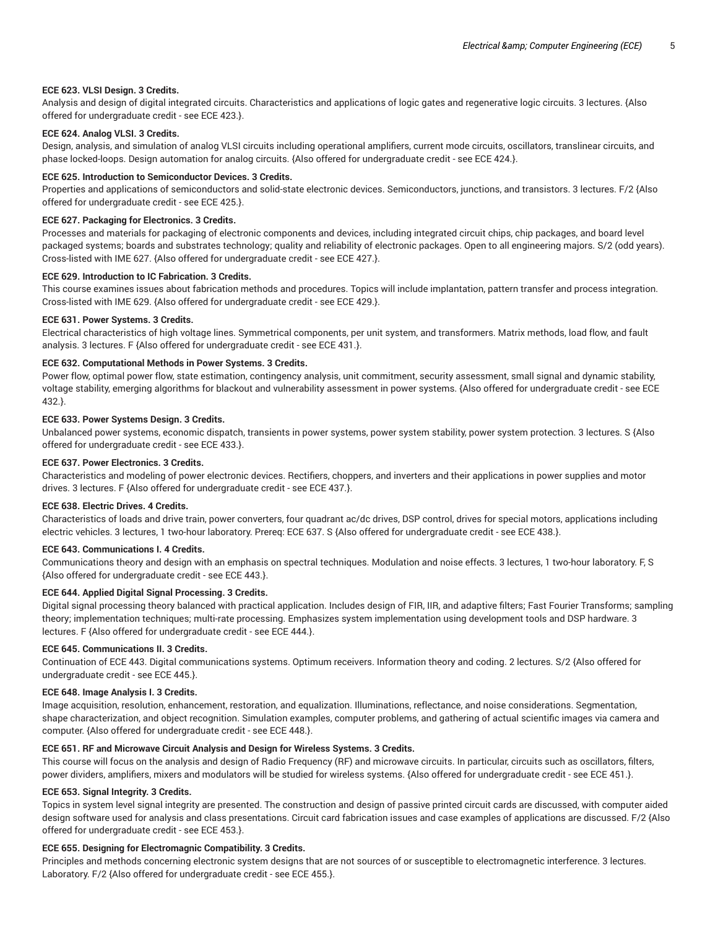#### **ECE 623. VLSI Design. 3 Credits.**

Analysis and design of digital integrated circuits. Characteristics and applications of logic gates and regenerative logic circuits. 3 lectures. {Also offered for undergraduate credit - see ECE 423.}.

# **ECE 624. Analog VLSI. 3 Credits.**

Design, analysis, and simulation of analog VLSI circuits including operational amplifiers, current mode circuits, oscillators, translinear circuits, and phase locked-loops. Design automation for analog circuits. {Also offered for undergraduate credit - see ECE 424.}.

#### **ECE 625. Introduction to Semiconductor Devices. 3 Credits.**

Properties and applications of semiconductors and solid-state electronic devices. Semiconductors, junctions, and transistors. 3 lectures. F/2 {Also offered for undergraduate credit - see ECE 425.}.

#### **ECE 627. Packaging for Electronics. 3 Credits.**

Processes and materials for packaging of electronic components and devices, including integrated circuit chips, chip packages, and board level packaged systems; boards and substrates technology; quality and reliability of electronic packages. Open to all engineering majors. S/2 (odd years). Cross-listed with IME 627. {Also offered for undergraduate credit - see ECE 427.}.

#### **ECE 629. Introduction to IC Fabrication. 3 Credits.**

This course examines issues about fabrication methods and procedures. Topics will include implantation, pattern transfer and process integration. Cross-listed with IME 629. {Also offered for undergraduate credit - see ECE 429.}.

#### **ECE 631. Power Systems. 3 Credits.**

Electrical characteristics of high voltage lines. Symmetrical components, per unit system, and transformers. Matrix methods, load flow, and fault analysis. 3 lectures. F {Also offered for undergraduate credit - see ECE 431.}.

#### **ECE 632. Computational Methods in Power Systems. 3 Credits.**

Power flow, optimal power flow, state estimation, contingency analysis, unit commitment, security assessment, small signal and dynamic stability, voltage stability, emerging algorithms for blackout and vulnerability assessment in power systems. {Also offered for undergraduate credit - see ECE 432.}.

#### **ECE 633. Power Systems Design. 3 Credits.**

Unbalanced power systems, economic dispatch, transients in power systems, power system stability, power system protection. 3 lectures. S {Also offered for undergraduate credit - see ECE 433.}.

# **ECE 637. Power Electronics. 3 Credits.**

Characteristics and modeling of power electronic devices. Rectifiers, choppers, and inverters and their applications in power supplies and motor drives. 3 lectures. F {Also offered for undergraduate credit - see ECE 437.}.

#### **ECE 638. Electric Drives. 4 Credits.**

Characteristics of loads and drive train, power converters, four quadrant ac/dc drives, DSP control, drives for special motors, applications including electric vehicles. 3 lectures, 1 two-hour laboratory. Prereq: ECE 637. S {Also offered for undergraduate credit - see ECE 438.}.

#### **ECE 643. Communications I. 4 Credits.**

Communications theory and design with an emphasis on spectral techniques. Modulation and noise effects. 3 lectures, 1 two-hour laboratory. F, S {Also offered for undergraduate credit - see ECE 443.}.

#### **ECE 644. Applied Digital Signal Processing. 3 Credits.**

Digital signal processing theory balanced with practical application. Includes design of FIR, IIR, and adaptive filters; Fast Fourier Transforms; sampling theory; implementation techniques; multi-rate processing. Emphasizes system implementation using development tools and DSP hardware. 3 lectures. F {Also offered for undergraduate credit - see ECE 444.}.

#### **ECE 645. Communications II. 3 Credits.**

Continuation of ECE 443. Digital communications systems. Optimum receivers. Information theory and coding. 2 lectures. S/2 {Also offered for undergraduate credit - see ECE 445.}.

#### **ECE 648. Image Analysis I. 3 Credits.**

Image acquisition, resolution, enhancement, restoration, and equalization. Illuminations, reflectance, and noise considerations. Segmentation, shape characterization, and object recognition. Simulation examples, computer problems, and gathering of actual scientific images via camera and computer. {Also offered for undergraduate credit - see ECE 448.}.

# **ECE 651. RF and Microwave Circuit Analysis and Design for Wireless Systems. 3 Credits.**

This course will focus on the analysis and design of Radio Frequency (RF) and microwave circuits. In particular, circuits such as oscillators, filters, power dividers, amplifiers, mixers and modulators will be studied for wireless systems. {Also offered for undergraduate credit - see ECE 451.}.

# **ECE 653. Signal Integrity. 3 Credits.**

Topics in system level signal integrity are presented. The construction and design of passive printed circuit cards are discussed, with computer aided design software used for analysis and class presentations. Circuit card fabrication issues and case examples of applications are discussed. F/2 {Also offered for undergraduate credit - see ECE 453.}.

#### **ECE 655. Designing for Electromagnic Compatibility. 3 Credits.**

Principles and methods concerning electronic system designs that are not sources of or susceptible to electromagnetic interference. 3 lectures. Laboratory. F/2 {Also offered for undergraduate credit - see ECE 455.}.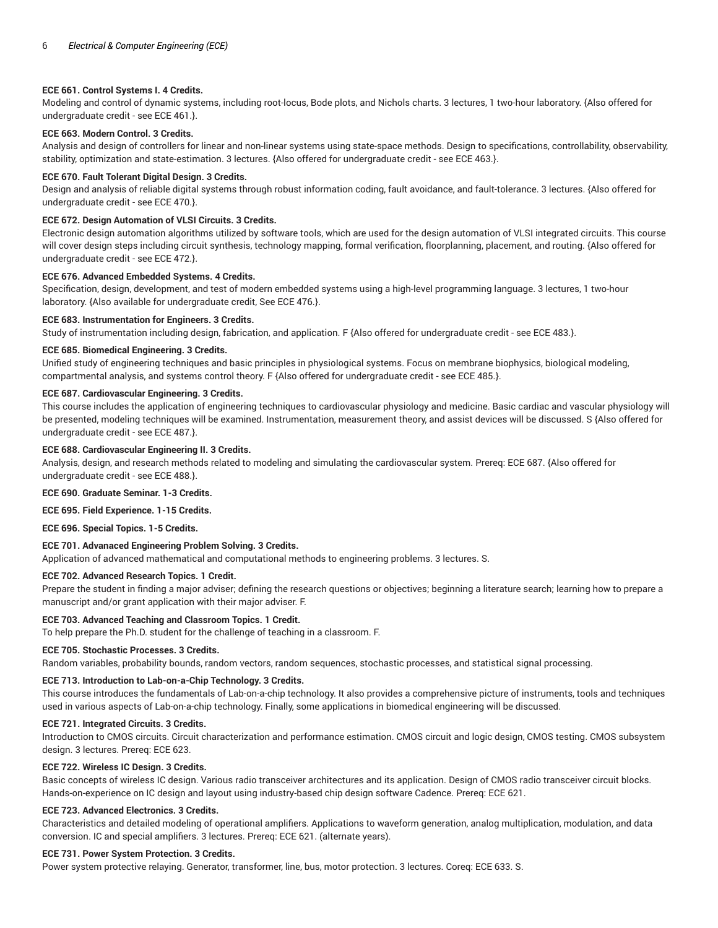# **ECE 661. Control Systems I. 4 Credits.**

Modeling and control of dynamic systems, including root-locus, Bode plots, and Nichols charts. 3 lectures, 1 two-hour laboratory. {Also offered for undergraduate credit - see ECE 461.}.

# **ECE 663. Modern Control. 3 Credits.**

Analysis and design of controllers for linear and non-linear systems using state-space methods. Design to specifications, controllability, observability, stability, optimization and state-estimation. 3 lectures. {Also offered for undergraduate credit - see ECE 463.}.

# **ECE 670. Fault Tolerant Digital Design. 3 Credits.**

Design and analysis of reliable digital systems through robust information coding, fault avoidance, and fault-tolerance. 3 lectures. {Also offered for undergraduate credit - see ECE 470.}.

# **ECE 672. Design Automation of VLSI Circuits. 3 Credits.**

Electronic design automation algorithms utilized by software tools, which are used for the design automation of VLSI integrated circuits. This course will cover design steps including circuit synthesis, technology mapping, formal verification, floorplanning, placement, and routing. {Also offered for undergraduate credit - see ECE 472.}.

# **ECE 676. Advanced Embedded Systems. 4 Credits.**

Specification, design, development, and test of modern embedded systems using a high-level programming language. 3 lectures, 1 two-hour laboratory. {Also available for undergraduate credit, See ECE 476.}.

# **ECE 683. Instrumentation for Engineers. 3 Credits.**

Study of instrumentation including design, fabrication, and application. F {Also offered for undergraduate credit - see ECE 483.}.

# **ECE 685. Biomedical Engineering. 3 Credits.**

Unified study of engineering techniques and basic principles in physiological systems. Focus on membrane biophysics, biological modeling, compartmental analysis, and systems control theory. F {Also offered for undergraduate credit - see ECE 485.}.

# **ECE 687. Cardiovascular Engineering. 3 Credits.**

This course includes the application of engineering techniques to cardiovascular physiology and medicine. Basic cardiac and vascular physiology will be presented, modeling techniques will be examined. Instrumentation, measurement theory, and assist devices will be discussed. S {Also offered for undergraduate credit - see ECE 487.}.

# **ECE 688. Cardiovascular Engineering II. 3 Credits.**

Analysis, design, and research methods related to modeling and simulating the cardiovascular system. Prereq: ECE 687. {Also offered for undergraduate credit - see ECE 488.}.

# **ECE 690. Graduate Seminar. 1-3 Credits.**

**ECE 695. Field Experience. 1-15 Credits.**

**ECE 696. Special Topics. 1-5 Credits.**

# **ECE 701. Advanaced Engineering Problem Solving. 3 Credits.**

Application of advanced mathematical and computational methods to engineering problems. 3 lectures. S.

# **ECE 702. Advanced Research Topics. 1 Credit.**

Prepare the student in finding a major adviser; defining the research questions or objectives; beginning a literature search; learning how to prepare a manuscript and/or grant application with their major adviser. F.

# **ECE 703. Advanced Teaching and Classroom Topics. 1 Credit.**

To help prepare the Ph.D. student for the challenge of teaching in a classroom. F.

# **ECE 705. Stochastic Processes. 3 Credits.**

Random variables, probability bounds, random vectors, random sequences, stochastic processes, and statistical signal processing.

# **ECE 713. Introduction to Lab-on-a-Chip Technology. 3 Credits.**

This course introduces the fundamentals of Lab-on-a-chip technology. It also provides a comprehensive picture of instruments, tools and techniques used in various aspects of Lab-on-a-chip technology. Finally, some applications in biomedical engineering will be discussed.

# **ECE 721. Integrated Circuits. 3 Credits.**

Introduction to CMOS circuits. Circuit characterization and performance estimation. CMOS circuit and logic design, CMOS testing. CMOS subsystem design. 3 lectures. Prereq: ECE 623.

# **ECE 722. Wireless IC Design. 3 Credits.**

Basic concepts of wireless IC design. Various radio transceiver architectures and its application. Design of CMOS radio transceiver circuit blocks. Hands-on-experience on IC design and layout using industry-based chip design software Cadence. Prereq: ECE 621.

# **ECE 723. Advanced Electronics. 3 Credits.**

Characteristics and detailed modeling of operational amplifiers. Applications to waveform generation, analog multiplication, modulation, and data conversion. IC and special amplifiers. 3 lectures. Prereq: ECE 621. (alternate years).

# **ECE 731. Power System Protection. 3 Credits.**

Power system protective relaying. Generator, transformer, line, bus, motor protection. 3 lectures. Coreq: ECE 633. S.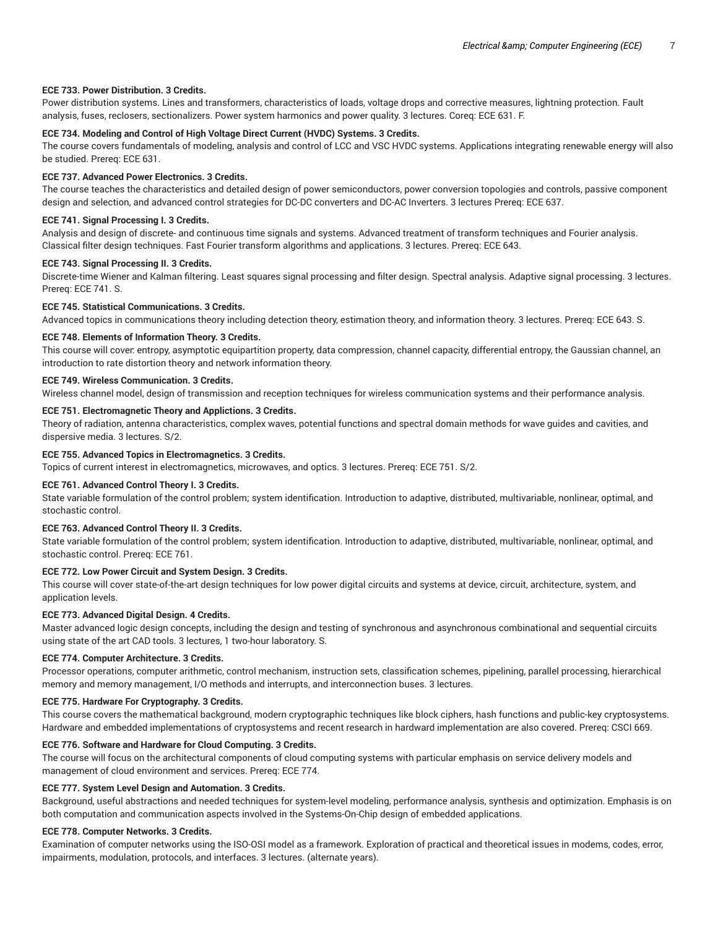#### **ECE 733. Power Distribution. 3 Credits.**

Power distribution systems. Lines and transformers, characteristics of loads, voltage drops and corrective measures, lightning protection. Fault analysis, fuses, reclosers, sectionalizers. Power system harmonics and power quality. 3 lectures. Coreq: ECE 631. F.

## **ECE 734. Modeling and Control of High Voltage Direct Current (HVDC) Systems. 3 Credits.**

The course covers fundamentals of modeling, analysis and control of LCC and VSC HVDC systems. Applications integrating renewable energy will also be studied. Prereq: ECE 631.

#### **ECE 737. Advanced Power Electronics. 3 Credits.**

The course teaches the characteristics and detailed design of power semiconductors, power conversion topologies and controls, passive component design and selection, and advanced control strategies for DC-DC converters and DC-AC Inverters. 3 lectures Prereq: ECE 637.

#### **ECE 741. Signal Processing I. 3 Credits.**

Analysis and design of discrete- and continuous time signals and systems. Advanced treatment of transform techniques and Fourier analysis. Classical filter design techniques. Fast Fourier transform algorithms and applications. 3 lectures. Prereq: ECE 643.

# **ECE 743. Signal Processing II. 3 Credits.**

Discrete-time Wiener and Kalman filtering. Least squares signal processing and filter design. Spectral analysis. Adaptive signal processing. 3 lectures. Prereq: ECE 741. S.

#### **ECE 745. Statistical Communications. 3 Credits.**

Advanced topics in communications theory including detection theory, estimation theory, and information theory. 3 lectures. Prereq: ECE 643. S.

#### **ECE 748. Elements of Information Theory. 3 Credits.**

This course will cover: entropy, asymptotic equipartition property, data compression, channel capacity, differential entropy, the Gaussian channel, an introduction to rate distortion theory and network information theory.

# **ECE 749. Wireless Communication. 3 Credits.**

Wireless channel model, design of transmission and reception techniques for wireless communication systems and their performance analysis.

# **ECE 751. Electromagnetic Theory and Applictions. 3 Credits.**

Theory of radiation, antenna characteristics, complex waves, potential functions and spectral domain methods for wave guides and cavities, and dispersive media. 3 lectures. S/2.

#### **ECE 755. Advanced Topics in Electromagnetics. 3 Credits.**

Topics of current interest in electromagnetics, microwaves, and optics. 3 lectures. Prereq: ECE 751. S/2.

#### **ECE 761. Advanced Control Theory I. 3 Credits.**

State variable formulation of the control problem; system identification. Introduction to adaptive, distributed, multivariable, nonlinear, optimal, and stochastic control.

# **ECE 763. Advanced Control Theory II. 3 Credits.**

State variable formulation of the control problem; system identification. Introduction to adaptive, distributed, multivariable, nonlinear, optimal, and stochastic control. Prereq: ECE 761.

#### **ECE 772. Low Power Circuit and System Design. 3 Credits.**

This course will cover state-of-the-art design techniques for low power digital circuits and systems at device, circuit, architecture, system, and application levels.

#### **ECE 773. Advanced Digital Design. 4 Credits.**

Master advanced logic design concepts, including the design and testing of synchronous and asynchronous combinational and sequential circuits using state of the art CAD tools. 3 lectures, 1 two-hour laboratory. S.

#### **ECE 774. Computer Architecture. 3 Credits.**

Processor operations, computer arithmetic, control mechanism, instruction sets, classification schemes, pipelining, parallel processing, hierarchical memory and memory management, I/O methods and interrupts, and interconnection buses. 3 lectures.

#### **ECE 775. Hardware For Cryptography. 3 Credits.**

This course covers the mathematical background, modern cryptographic techniques like block ciphers, hash functions and public-key cryptosystems. Hardware and embedded implementations of cryptosystems and recent research in hardward implementation are also covered. Prereq: CSCI 669.

#### **ECE 776. Software and Hardware for Cloud Computing. 3 Credits.**

The course will focus on the architectural components of cloud computing systems with particular emphasis on service delivery models and management of cloud environment and services. Prereq: ECE 774.

# **ECE 777. System Level Design and Automation. 3 Credits.**

Background, useful abstractions and needed techniques for system-level modeling, performance analysis, synthesis and optimization. Emphasis is on both computation and communication aspects involved in the Systems-On-Chip design of embedded applications.

# **ECE 778. Computer Networks. 3 Credits.**

Examination of computer networks using the ISO-OSI model as a framework. Exploration of practical and theoretical issues in modems, codes, error, impairments, modulation, protocols, and interfaces. 3 lectures. (alternate years).